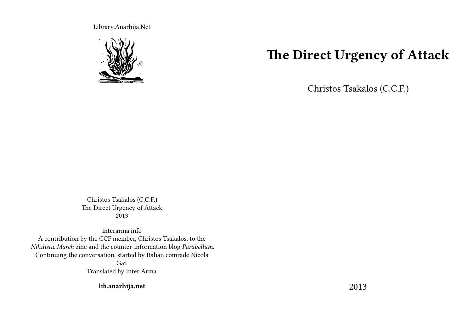Library.Anarhija.Net



# **The Direct Urgency of Attack**

Christos Tsakalos (C.C.F.)

Christos Tsakalos (C.C.F.) The Direct Urgency of Attack 2013

interarma.info A contribution by the CCF member, Christos Tsakalos, to the *Nihilistic March* zine and the counter-information blog *Parabellum*. Continuing the conversation, started by Italian comrade Nicola Gai. Translated by Inter Arma.

**lib.anarhija.net**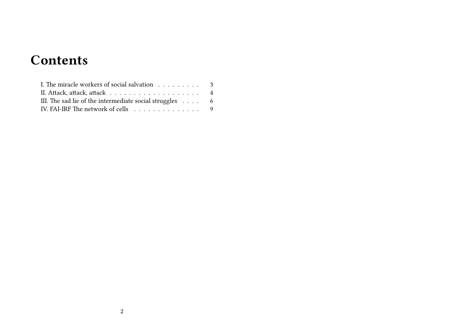# **Contents**

| I. The miracle workers of social salvation 3                    |  |
|-----------------------------------------------------------------|--|
|                                                                 |  |
| III. The sad lie of the intermediate social struggles $\dots$ 6 |  |
| IV. FAI-IRF The network of cells 9                              |  |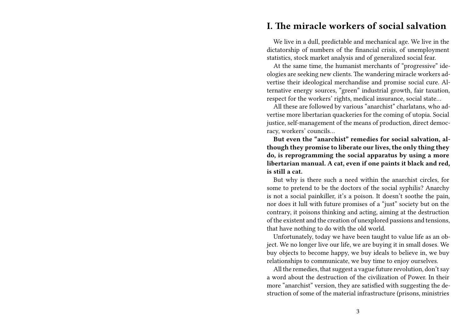### **I. The miracle workers of social salvation**

We live in a dull, predictable and mechanical age. We live in the dictatorship of numbers of the financial crisis, of unemployment statistics, stock market analysis and of generalized social fear.

At the same time, the humanist merchants of "progressive" ideologies are seeking new clients. The wandering miracle workers advertise their ideological merchandise and promise social cure. Alternative energy sources, "green" industrial growth, fair taxation, respect for the workers' rights, medical insurance, social state…

All these are followed by various "anarchist" charlatans, who advertise more libertarian quackeries for the coming of utopia. Social justice, self-management of the means of production, direct democracy, workers' councils…

**But even the "anarchist" remedies for social salvation, although they promise to liberate our lives, the only thing they do, is reprogramming the social apparatus by using a more libertarian manual. A cat, even if one paints it black and red, is still a cat.**

But why is there such a need within the anarchist circles, for some to pretend to be the doctors of the social syphilis? Anarchy is not a social painkiller, it's a poison. It doesn't soothe the pain, nor does it lull with future promises of a "just" society but on the contrary, it poisons thinking and acting, aiming at the destruction of the existent and the creation of unexplored passions and tensions, that have nothing to do with the old world.

Unfortunately, today we have been taught to value life as an object. We no longer live our life, we are buying it in small doses. We buy objects to become happy, we buy ideals to believe in, we buy relationships to communicate, we buy time to enjoy ourselves.

All the remedies, that suggest a vague future revolution, don't say a word about the destruction of the civilization of Power. In their more "anarchist" version, they are satisfied with suggesting the destruction of some of the material infrastructure (prisons, ministries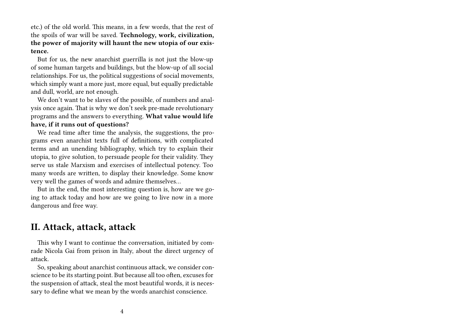etc.) of the old world. This means, in a few words, that the rest of the spoils of war will be saved. **Technology, work, civilization, the power of majority will haunt the new utopia of our existence.**

But for us, the new anarchist guerrilla is not just the blow-up of some human targets and buildings, but the blow-up of all social relationships. For us, the political suggestions of social movements, which simply want a more just, more equal, but equally predictable and dull, world, are not enough.

We don't want to be slaves of the possible, of numbers and analysis once again. That is why we don't seek pre-made revolutionary programs and the answers to everything. **What value would life have, if it runs out of questions?**

We read time after time the analysis, the suggestions, the programs even anarchist texts full of definitions, with complicated terms and an unending bibliography, which try to explain their utopia, to give solution, to persuade people for their validity. They serve us stale Marxism and exercises of intellectual potency. Too many words are written, to display their knowledge. Some know very well the games of words and admire themselves…

But in the end, the most interesting question is, how are we going to attack today and how are we going to live now in a more dangerous and free way.

### **II. Attack, attack, attack**

This why I want to continue the conversation, initiated by comrade Nicola Gai from prison in Italy, about the direct urgency of attack.

So, speaking about anarchist continuous attack, we consider conscience to be its starting point. But because all too often, excuses for the suspension of attack, steal the most beautiful words, it is necessary to define what we mean by the words anarchist conscience.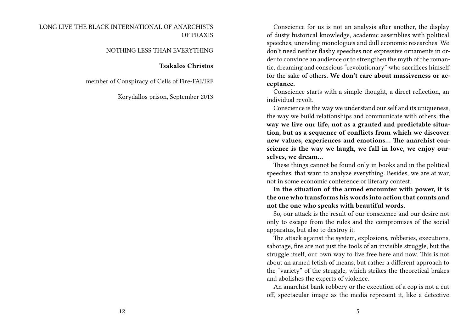Conscience for us is not an analysis after another, the display of dusty historical knowledge, academic assemblies with political speeches, unending monologues and dull economic researches. We don't need neither flashy speeches nor expressive ornaments in order to convince an audience or to strengthen the myth of the romantic, dreaming and conscious "revolutionary" who sacrifices himself for the sake of others. **We don't care about massiveness or acceptance.**

Conscience starts with a simple thought, a direct reflection, an individual revolt.

Conscience is the way we understand our self and its uniqueness, the way we build relationships and communicate with others, **the way we live our life, not as a granted and predictable situation, but as a sequence of conflicts from which we discover new values, experiences and emotions… The anarchist conscience is the way we laugh, we fall in love, we enjoy ourselves, we dream…**

These things cannot be found only in books and in the political speeches, that want to analyze everything. Besides, we are at war, not in some economic conference or literary contest.

**In the situation of the armed encounter with power, it is the one who transforms his words into action that counts and not the one who speaks with beautiful words.**

So, our attack is the result of our conscience and our desire not only to escape from the rules and the compromises of the social apparatus, but also to destroy it.

The attack against the system, explosions, robberies, executions, sabotage, fire are not just the tools of an invisible struggle, but the struggle itself, our own way to live free here and now. This is not about an armed fetish of means, but rather a different approach to the "variety" of the struggle, which strikes the theoretical brakes and abolishes the experts of violence.

An anarchist bank robbery or the execution of a cop is not a cut off, spectacular image as the media represent it, like a detective

#### LONG LIVE THE BLACK INTERNATIONAL OF ANARCHISTS OF PRAXIS

#### NOTHING LESS THAN EVERYTHING

#### **Tsakalos Christοs**

member of Conspiracy of Cells of Fire-FAI/IRF

Korydallos prison, September 2013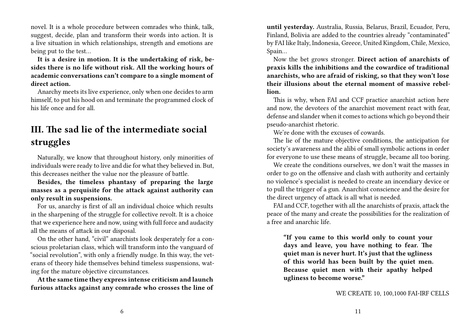novel. It is a whole procedure between comrades who think, talk, suggest, decide, plan and transform their words into action. It is a live situation in which relationships, strength and emotions are being put to the test…

**It is a desire in motion. It is the undertaking of risk, besides there is no life without risk. All the working hours of academic conversations can't compare to a single moment of direct action.**

Anarchy meets its live experience, only when one decides to arm himself, to put his hood on and terminate the programmed clock of his life once and for all.

# **III. The sad lie of the intermediate social struggles**

Naturally, we know that throughout history, only minorities of individuals were ready to live and die for what they believed in. But, this decreases neither the value nor the pleasure of battle.

**Besides, the timeless phantasy of preparing the large masses as a perquisite for the attack against authority can only result in suspensions.**

For us, anarchy is first of all an individual choice which results in the sharpening of the struggle for collective revolt. It is a choice that we experience here and now, using with full force and audacity all the means of attack in our disposal.

On the other hand, "civil" anarchists look desperately for a conscious proletarian class, which will transform into the vanguard of "social revolution", with only a friendly nudge. In this way, the veterans of theory hide themselves behind timeless suspensions, wating for the mature objective circumstances.

**At the same time they express intense criticism and launch furious attacks against any comrade who crosses the line of** **until yesterday.** Australia, Russia, Belarus, Brazil, Ecuador, Peru, Finland, Bolivia are added to the countries already "contaminated" by FAI like Italy, Indonesia, Greece, United Kingdom, Chile, Mexico, Spain…

Now the bet grows stronger. **Direct action of anarchists of praxis kills the inhibitions and the cowardice of traditional anarchists, who are afraid of risking, so that they won't lose their illusions about the eternal moment of massive rebellion.**

This is why, when FAI and CCF practice anarchist action here and now, the devotees of the anarchist movement react with fear, defense and slander when it comes to actions which go beyond their pseudo-anarchist rhetoric.

We're done with the excuses of cowards.

The lie of the mature objective conditions, the anticipation for society's awareness and the alibi of small symbolic actions in order for everyone to use these means of struggle, became all too boring.

We create the conditions ourselves, we don't wait the masses in order to go on the offensive and clash with authority and certainly no violence's specialist is needed to create an incendiary device or to pull the trigger of a gun. Anarchist conscience and the desire for the direct urgency of attack is all what is needed.

FAI and CCF, together with all the anarchists of praxis, attack the peace of the many and create the possibilities for the realization of a free and anarchic life.

**"If you came to this world only to count your days and leave, you have nothing to fear. The quiet man is never hurt. It's just that the ugliness of this world has been built by the quiet men. Because quiet men with their apathy helped ugliness to become worse."**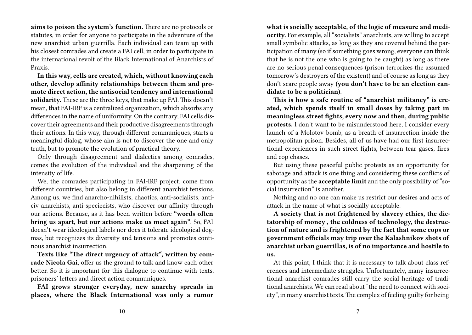**aims to poison the system's function.** There are no protocols or statutes, in order for anyone to participate in the adventure of the new anarchist urban guerrilla. Each individual can team up with his closest comrades and create a FAI cell, in order to participate in the international revolt of the Black International of Anarchists of Praxis.

**In this way, cells are created, which, without knowing each other, develop affinity relationships between them and promote direct action, the antisocial tendency and international solidarity.** These are the three keys, that make up FAI. This doesn't mean, that FAI-IRF is a centralized organization, which absorbs any differences in the name of uniformity. On the contrary, FAI cells discover their agreements and their productive disagreements through their actions. In this way, through different communiques, starts a meaningful dialog, whose aim is not to discover the one and only truth, but to promote the evolution of practical theory.

Only through disagreement and dialectics among comrades, comes the evolution of the individual and the sharpening of the intensity of life.

We, the comrades participating in FAI-IRF project, come from different countries, but also belong in different anarchist tensions. Among us, we find anarcho-nihilists, chaotics, anti-socialists, anticiv anarchists, anti-speciecists, who discover our affinity through our actions. Because, as it has been written before **"words often bring us apart, but our actions make us meet again"**. So, FAI doesn't wear ideological labels nor does it tolerate ideological dogmas, but recognizes its diversity and tensions and promotes continous anarchist insurrection.

**Texts like "The direct urgency of attack", written by comrade Nicola Gai**, offer us the ground to talk and know each other better. So it is important for this dialogue to continue with texts, prisoners' letters and direct action communiques.

**FAI grows stronger everyday, new anarchy spreads in places, where the Black International was only a rumor** **what is socially acceptable, of the logic of measure and mediocrity.** For example, all "socialists" anarchists, are willing to accept small symbolic attacks, as long as they are covered behind the participation of many (so if something goes wrong, everyone can think that he is not the one who is going to be caught) as long as there are no serious penal consequences (prison terrorizes the assumed tomorrow's destroyers of the existent) and of course as long as they don't scare people away **(you don't have to be an election candidate to be a politician)**.

**This is how a safe routine of "anarchist militancy" is created, which spends itself in small doses by taking part in meaningless street fights, every now and then, during public protests.** I don't want to be misunderstood here, I consider every launch of a Molotov bomb, as a breath of insurrection inside the metropolitan prison. Besides, all of us have had our first insurrectional experiences in such street fights, between tear gases, fires and cop chases.

But using these peaceful public protests as an opportunity for sabotage and attack is one thing and considering these conflicts of opportunity as the **acceptable limit** and the only possibility of "social insurrection" is another.

Nothing and no one can make us restrict our desires and acts of attack in the name of what is socially acceptable.

**A society that is not frightened by slavery ethics, the dictatorship of money , the coldness of technology, the destruction of nature and is frightened by the fact that some cops or government officials may trip over the Kalashnikov shots of anarchist urban guerrillas, is of no importance and hostile to us.**

At this point, I think that it is necessary to talk about class references and intermediate struggles. Unfortunately, many insurrectional anarchist comrades still carry the social heritage of traditional anarchists. We can read about "the need to connect with society", in many anarchist texts. The complex of feeling guilty for being